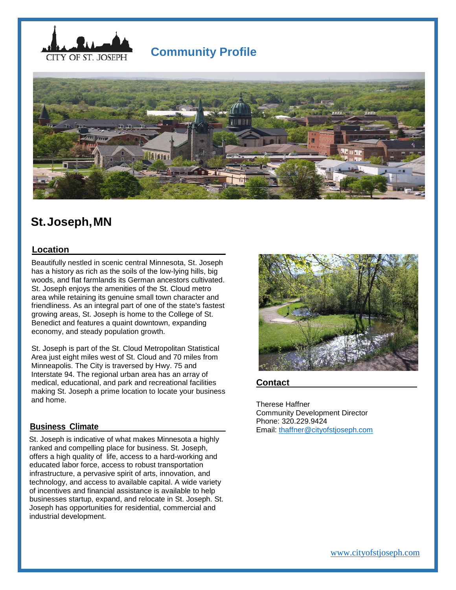

# **Community Profile**



# **St.Joseph,MN**

## **Location**

 Beautifully nestled in scenic central Minnesota, St. Joseph has a history as rich as the soils of the low-lying hills, big woods, and flat farmlands its German ancestors cultivated. St. Joseph enjoys the amenities of the St. Cloud metro area while retaining its genuine small town character and friendliness. As an integral part of one of the state's fastest growing areas, St. Joseph is home to the College of St. Benedict and features a quaint downtown, expanding economy, and steady population growth.

 St. Joseph is part of the St. Cloud Metropolitan Statistical Area just eight miles west of St. Cloud and 70 miles from Minneapolis. The City is traversed by Hwy. 75 and Interstate 94. The regional urban area has an array of medical, educational, and park and recreational facilities making St. Joseph a prime location to locate your business and home.

## **Business Climate**

 St. Joseph is indicative of what makes Minnesota a highly ranked and compelling place for business. St. Joseph, offers a high quality of life, access to a hard-working and educated labor force, access to robust transportation infrastructure, a pervasive spirit of arts, innovation, and technology, and access to available capital. A wide variety of incentives and financial assistance is available to help businesses startup, expand, and relocate in St. Joseph. St. Joseph has opportunities for residential, commercial and industrial development.



#### **Contact**

Therese Haffner Community Development Director Phone: 320.229.9424 Email: [thaffner@cityofstjoseph.com](mailto:thaffner@cityofstjoseph.com)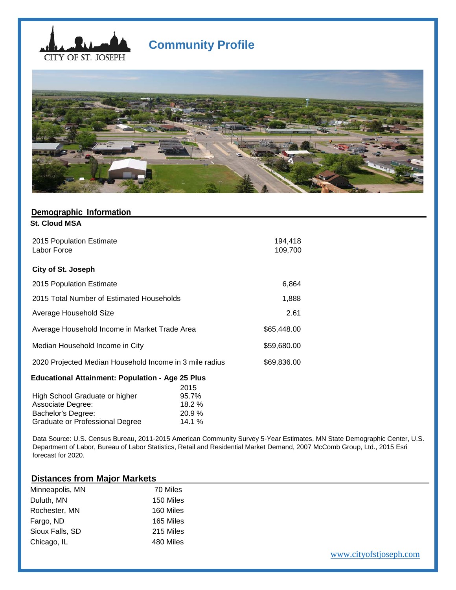

# **Community Profile**



| Demographic Information                                 |             |  |
|---------------------------------------------------------|-------------|--|
| <b>St. Cloud MSA</b>                                    |             |  |
|                                                         |             |  |
| 2015 Population Estimate                                | 194,418     |  |
| Labor Force                                             | 109,700     |  |
|                                                         |             |  |
| City of St. Joseph                                      |             |  |
| 2015 Population Estimate                                | 6,864       |  |
|                                                         |             |  |
| 2015 Total Number of Estimated Households               | 1,888       |  |
| Average Household Size                                  | 2.61        |  |
|                                                         |             |  |
| Average Household Income in Market Trade Area           | \$65,448.00 |  |
| Median Household Income in City                         | \$59,680.00 |  |
|                                                         |             |  |
| 2020 Projected Median Household Income in 3 mile radius | \$69,836.00 |  |
| <b>Educational Attainment: Population - Age 25 Plus</b> |             |  |

|                                        | 2015  |
|----------------------------------------|-------|
| High School Graduate or higher         | 95.7% |
| Associate Degree:                      | 18.2% |
| Bachelor's Degree:                     | 20.9% |
| <b>Graduate or Professional Degree</b> | 14.1% |

 Data Source: U.S. Census Bureau, 2011-2015 American Community Survey 5-Year Estimates, MN State Demographic Center, U.S. Department of Labor, Bureau of Labor Statistics, Retail and Residential Market Demand, 2007 McComb Group, Ltd., 2015 Esri forecast for 2020.

# **Distances from Major Markets**

| Minneapolis, MN | 70 Miles  |
|-----------------|-----------|
| Duluth, MN      | 150 Miles |
| Rochester, MN   | 160 Miles |
| Fargo, ND       | 165 Miles |
| Sioux Falls, SD | 215 Miles |
| Chicago, IL     | 480 Miles |